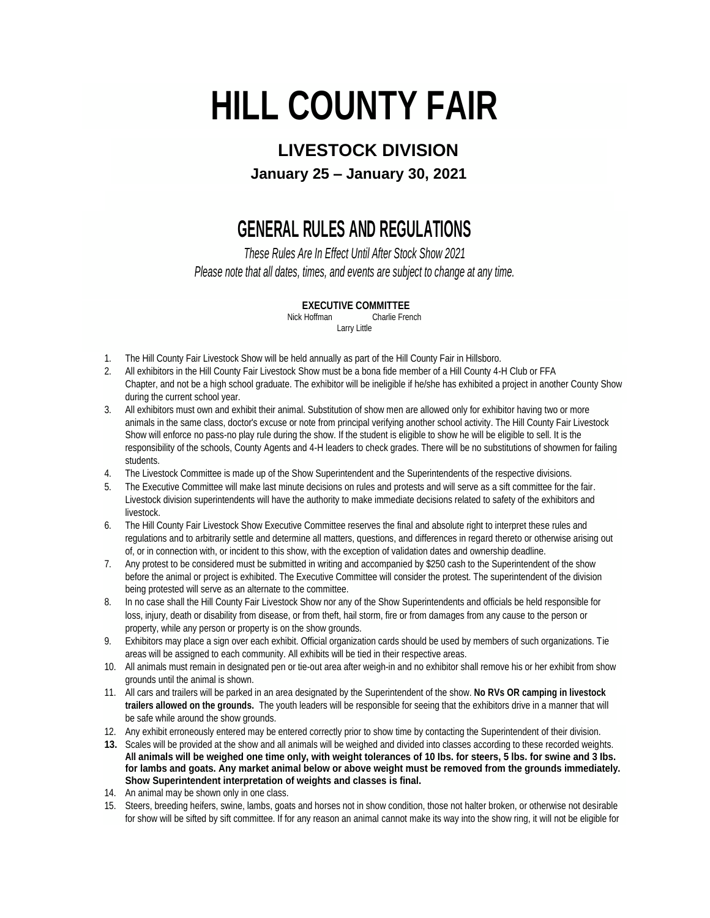# **HILL COUNTY FAIR**

### **LIVESTOCK DIVISION**

**January 25 – January 30, 2021**

## **GENERAL RULES AND REGULATIONS**

*These Rules Are In Effect Until After Stock Show 2021*

*Please note that all dates, times, and events are subject to change at any time.*

#### **EXECUTIVE COMMITTEE**

Nick Hoffman Charlie French Larry Little

- 1. The Hill County Fair Livestock Show will be held annually as part of the Hill County Fair in Hillsboro.
- 2. All exhibitors in the Hill County Fair Livestock Show must be a bona fide member of a Hill County 4-H Club or FFA Chapter, and not be a high school graduate. The exhibitor will be ineligible if he/she has exhibited a project in another County Show during the current school year.
- 3. All exhibitors must own and exhibit their animal. Substitution of show men are allowed only for exhibitor having two or more animals in the same class, doctor's excuse or note from principal verifying another school activity. The Hill County Fair Livestock Show will enforce no pass-no play rule during the show. If the student is eligible to show he will be eligible to sell. It is the responsibility of the schools, County Agents and 4-H leaders to check grades. There will be no substitutions of showmen for failing students.
- 4. The Livestock Committee is made up of the Show Superintendent and the Superintendents of the respective divisions.
- 5. The Executive Committee will make last minute decisions on rules and protests and will serve as a sift committee for the fair. Livestock division superintendents will have the authority to make immediate decisions related to safety of the exhibitors and livestock.
- 6. The Hill County Fair Livestock Show Executive Committee reserves the final and absolute right to interpret these rules and regulations and to arbitrarily settle and determine all matters, questions, and differences in regard thereto or otherwise arising out of, or in connection with, or incident to this show, with the exception of validation dates and ownership deadline.
- 7. Any protest to be considered must be submitted in writing and accompanied by \$250 cash to the Superintendent of the show before the animal or project is exhibited. The Executive Committee will consider the protest. The superintendent of the division being protested will serve as an alternate to the committee.
- 8. In no case shall the Hill County Fair Livestock Show nor any of the Show Superintendents and officials be held responsible for loss, injury, death or disability from disease, or from theft, hail storm, fire or from damages from any cause to the person or property, while any person or property is on the show grounds.
- 9. Exhibitors may place a sign over each exhibit. Official organization cards should be used by members of such organizations. Tie areas will be assigned to each community. All exhibits will be tied in their respective areas.
- 10. All animals must remain in designated pen or tie-out area after weigh-in and no exhibitor shall remove his or her exhibit from show grounds until the animal is shown.
- 11. All cars and trailers will be parked in an area designated by the Superintendent of the show. **No RVs OR camping in livestock trailers allowed on the grounds.** The youth leaders will be responsible for seeing that the exhibitors drive in a manner that will be safe while around the show grounds.
- 12. Any exhibit erroneously entered may be entered correctly prior to show time by contacting the Superintendent of their division.
- **13.** Scales will be provided at the show and all animals will be weighed and divided into classes according to these recorded weights. **All animals will be weighed one time only, with weight tolerances of 10 Ibs. for steers, 5 lbs. for swine and 3 Ibs. for lambs and goats. Any market animal below or above weight must be removed from the grounds immediately. Show Superintendent interpretation of weights and classes is final.**
- 14. An animal may be shown only in one class.
- 15. Steers, breeding heifers, swine, lambs, goats and horses not in show condition, those not halter broken, or otherwise not desirable for show will be sifted by sift committee. If for any reason an animal cannot make its way into the show ring, it will not be eligible for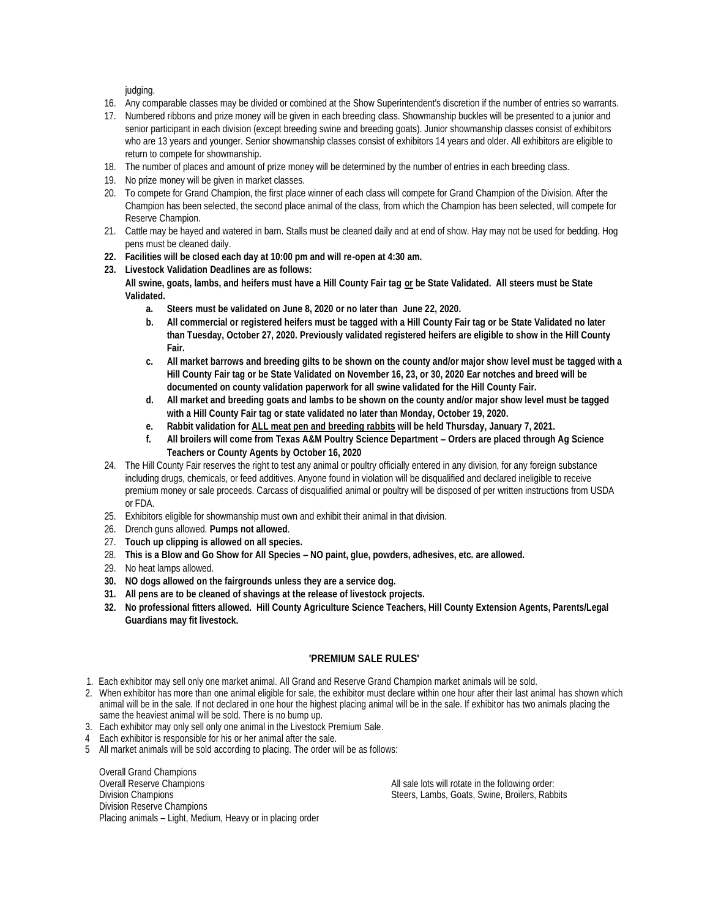judging.

- 16. Any comparable classes may be divided or combined at the Show Superintendent's discretion if the number of entries so warrants.
- 17. Numbered ribbons and prize money will be given in each breeding class. Showmanship buckles will be presented to a junior and senior participant in each division (except breeding swine and breeding goats). Junior showmanship classes consist of exhibitors who are 13 years and younger. Senior showmanship classes consist of exhibitors 14 years and older. All exhibitors are eligible to return to compete for showmanship.
- 18. The number of places and amount of prize money will be determined by the number of entries in each breeding class.
- 19. No prize money will be given in market classes.
- 20. To compete for Grand Champion, the first place winner of each class will compete for Grand Champion of the Division. After the Champion has been selected, the second place animal of the class, from which the Champion has been selected, will compete for Reserve Champion.
- 21. Cattle may be hayed and watered in barn. Stalls must be cleaned daily and at end of show. Hay may not be used for bedding. Hog pens must be cleaned daily.
- **22. Facilities will be closed each day at 10:00 pm and will re-open at 4:30 am.**
- **23. Livestock Validation Deadlines are as follows:**
	- **All swine, goats, lambs, and heifers must have a Hill County Fair tag or be State Validated. All steers must be State Validated.**
		- **a. Steers must be validated on June 8, 2020 or no later than June 22, 2020.**
		- **b. All commercial or registered heifers must be tagged with a Hill County Fair tag or be State Validated no later than Tuesday, October 27, 2020. Previously validated registered heifers are eligible to show in the Hill County Fair.**
		- **c. All market barrows and breeding gilts to be shown on the county and/or major show level must be tagged with a Hill County Fair tag or be State Validated on November 16, 23, or 30, 2020 Ear notches and breed will be documented on county validation paperwork for all swine validated for the Hill County Fair.**
		- **d. All market and breeding goats and lambs to be shown on the county and/or major show level must be tagged with a Hill County Fair tag or state validated no later than Monday, October 19, 2020.**
		- **e. Rabbit validation for ALL meat pen and breeding rabbits will be held Thursday, January 7, 2021.**
		- **f. All broilers will come from Texas A&M Poultry Science Department – Orders are placed through Ag Science Teachers or County Agents by October 16, 2020**
- 24. The Hill County Fair reserves the right to test any animal or poultry officially entered in any division, for any foreign substance including drugs, chemicals, or feed additives. Anyone found in violation will be disqualified and declared ineligible to receive premium money or sale proceeds. Carcass of disqualified animal or poultry will be disposed of per written instructions from USDA or FDA.
- 25. Exhibitors eligible for showmanship must own and exhibit their animal in that division.
- 26. Drench guns allowed. **Pumps not allowed**.
- 27. **Touch up clipping is allowed on all species.**
- 28. **This is a Blow and Go Show for All Species – NO paint, glue, powders, adhesives, etc. are allowed.**
- 29. No heat lamps allowed.
- **30. NO dogs allowed on the fairgrounds unless they are a service dog.**
- **31. All pens are to be cleaned of shavings at the release of livestock projects.**
- **32. No professional fitters allowed. Hill County Agriculture Science Teachers, Hill County Extension Agents, Parents/Legal Guardians may fit livestock.**

#### **'PREMIUM SALE RULES'**

- 1. Each exhibitor may sell only one market animal. All Grand and Reserve Grand Champion market animals will be sold.
- 2. When exhibitor has more than one animal eligible for sale, the exhibitor must declare within one hour after their last animal has shown which animal will be in the sale. If not declared in one hour the highest placing animal will be in the sale. If exhibitor has two animals placing the same the heaviest animal will be sold. There is no bump up.
- 3. Each exhibitor may only sell only one animal in the Livestock Premium Sale.
- 4 Each exhibitor is responsible for his or her animal after the sale.
- 5 All market animals will be sold according to placing. The order will be as follows:

Overall Grand Champions Overall Reserve Champions Division Champions Division Reserve Champions Placing animals – Light, Medium, Heavy or in placing order

All sale lots will rotate in the following order: Steers, Lambs, Goats, Swine, Broilers, Rabbits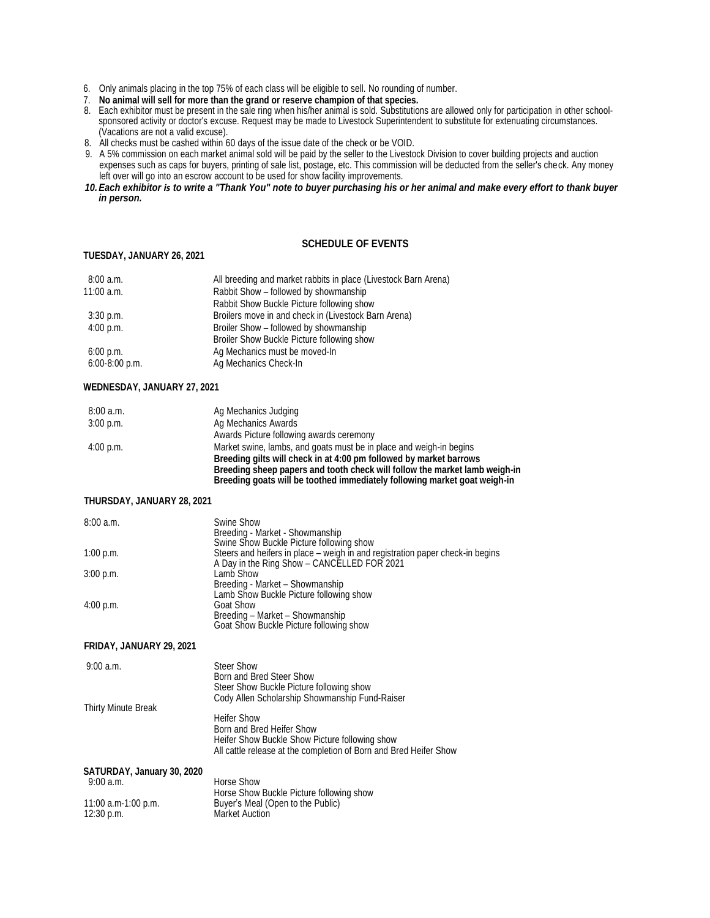- 6. Only animals placing in the top 75% of each class will be eligible to sell. No rounding of number.
- 7. **No animal will sell for more than the grand or reserve champion of that species.**
- 8. Each exhibitor must be present in the sale ring when his/her animal is sold. Substitutions are allowed only for participation in other schoolsponsored activity or doctor's excuse. Request may be made to Livestock Superintendent to substitute for extenuating circumstances. (Vacations are not a valid excuse).
- 8. All checks must be cashed within 60 days of the issue date of the check or be VOID.
- 9. A 5% commission on each market animal sold will be paid by the seller to the Livestock Division to cover building projects and auction expenses such as caps for buyers, printing of sale list, postage, etc. This commission will be deducted from the seller's check. Any money left over will go into an escrow account to be used for show facility improvements.
- *10.Each exhibitor is to write a "Thank You" note to buyer purchasing his or her animal and make every effort to thank buyer in person.*

#### **TUESDAY, JANUARY 26, 2021**

#### **SCHEDULE OF EVENTS**

| 8:00a.m.         | All breeding and market rabbits in place (Livestock Barn Arena) |
|------------------|-----------------------------------------------------------------|
| $11:00$ a.m.     | Rabbit Show – followed by showmanship                           |
|                  | Rabbit Show Buckle Picture following show                       |
| $3:30$ p.m.      | Broilers move in and check in (Livestock Barn Arena)            |
| 4:00 p.m.        | Broiler Show – followed by showmanship                          |
|                  | Broiler Show Buckle Picture following show                      |
| 6:00 p.m.        | Ag Mechanics must be moved-In                                   |
| $6:00-8:00$ p.m. | Ag Mechanics Check-In                                           |

#### **WEDNESDAY, JANUARY 27, 2021**

| 8:00a.m.  | Ag Mechanics Judging                                                       |
|-----------|----------------------------------------------------------------------------|
| 3:00 p.m. | Ag Mechanics Awards                                                        |
|           | Awards Picture following awards ceremony                                   |
| 4:00 p.m. | Market swine, lambs, and goats must be in place and weigh-in begins        |
|           | Breeding gilts will check in at 4:00 pm followed by market barrows         |
|           | Breeding sheep papers and tooth check will follow the market lamb weigh-in |
|           | Breeding goats will be toothed immediately following market goat weigh-in  |

#### **THURSDAY, JANUARY 28, 2021**

| 8:00a.m.    | Swine Show                                                                    |
|-------------|-------------------------------------------------------------------------------|
|             | Breeding - Market - Showmanship                                               |
|             | Swine Show Buckle Picture following show                                      |
| 1:00 p.m.   | Steers and heifers in place – weigh in and registration paper check-in begins |
|             | A Day in the Ring Show - CANCELLED FOR 2021                                   |
| $3:00$ p.m. | Lamb Show                                                                     |
|             | Breeding - Market - Showmanship                                               |
|             | Lamb Show Buckle Picture following show                                       |
| 4:00 p.m.   | Goat Show                                                                     |
|             | Breeding - Market - Showmanship                                               |
|             | Goat Show Buckle Picture following show                                       |

#### **FRIDAY, JANUARY 29, 2021**

| $9:00$ a.m.                            | <b>Steer Show</b><br>Born and Bred Steer Show<br>Steer Show Buckle Picture following show<br>Cody Allen Scholarship Showmanship Fund-Raiser                            |
|----------------------------------------|------------------------------------------------------------------------------------------------------------------------------------------------------------------------|
| Thirty Minute Break                    | <b>Heifer Show</b><br>Born and Bred Heifer Show<br>Heifer Show Buckle Show Picture following show<br>All cattle release at the completion of Born and Bred Heifer Show |
| SATURDAY, January 30, 2020<br>9:00a.m. | Horse Show                                                                                                                                                             |
| 11:00 a.m-1:00 p.m.<br>12:30 p.m.      | Horse Show Buckle Picture following show<br>Buyer's Meal (Open to the Public)<br><b>Market Auction</b>                                                                 |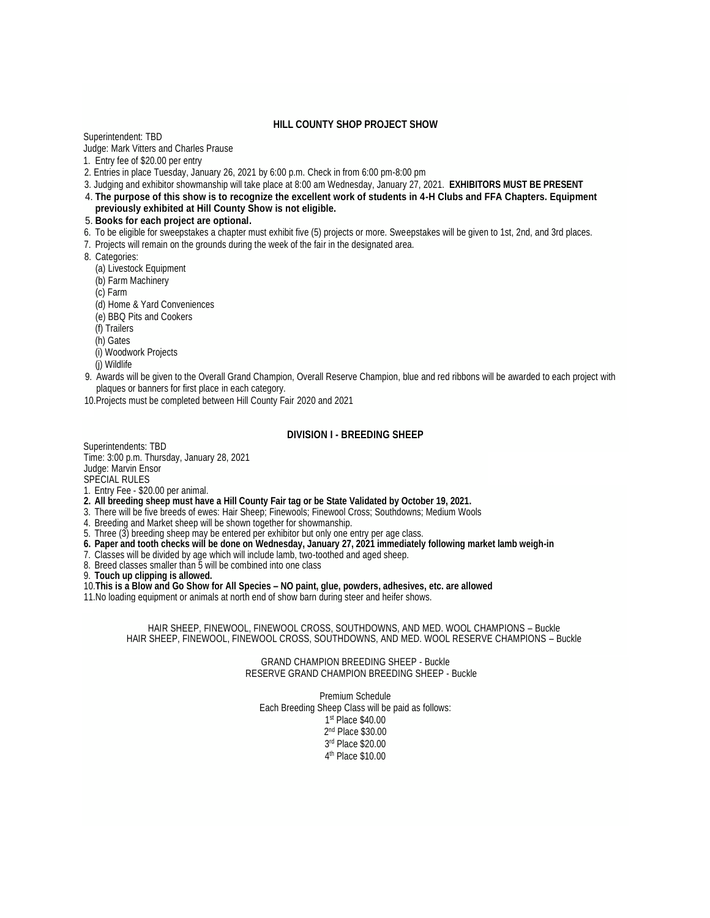#### **HILL COUNTY SHOP PROJECT SHOW**

Superintendent: TBD

Judge: Mark Vitters and Charles Prause

- 1.Entry fee of \$20.00 per entry
- 2. Entries in place Tuesday, January 26, 2021 by 6:00 p.m. Check in from 6:00 pm-8:00 pm
- 3. Judging and exhibitor showmanship will take place at 8:00 am Wednesday, January 27, 2021. **EXHIBITORS MUST BE PRESENT**
- 4. **The purpose of this show is to recognize the excellent work of students in 4-H Clubs and FFA Chapters. Equipment previously exhibited at Hill County Show is not eligible.**
- 5. **Books for each project are optional.**
- 6. To be eligible for sweepstakes a chapter must exhibit five (5) projects or more. Sweepstakes will be given to 1st, 2nd, and 3rd places.
- 7. Projects will remain on the grounds during the week of the fair in the designated area.
- 8. Categories:
	- (a) Livestock Equipment
	- (b) Farm Machinery
	- (c) Farm
	- (d) Home & Yard Conveniences
	- (e) BBQ Pits and Cookers
	- (f) Trailers
	- (h) Gates
	- (i) Woodwork Projects
	- (j) Wildlife
- 9. Awards will be given to the Overall Grand Champion, Overall Reserve Champion, blue and red ribbons will be awarded to each project with plaques or banners for first place in each category.
- 10.Projects must be completed between Hill County Fair 2020 and 2021

#### **DIVISION I - BREEDING SHEEP**

Superintendents: TBD Time: 3:00 p.m. Thursday, January 28, 2021 Judge: Marvin Ensor

SPECIAL RULES

- 1. Entry Fee \$20.00 per animal.
- **2. All breeding sheep must have a Hill County Fair tag or be State Validated by October 19, 2021.**
- 3. There will be five breeds of ewes: Hair Sheep; Finewools; Finewool Cross; Southdowns; Medium Wools
- 4. Breeding and Market sheep will be shown together for showmanship.
- 5. Three (3) breeding sheep may be entered per exhibitor but only one entry per age class.
- **6. Paper and tooth checks will be done on Wednesday, January 27, 2021 immediately following market lamb weigh-in**
- 7. Classes will be divided by age which will include lamb, two-toothed and aged sheep.
- 8. Breed classes smaller than 5 will be combined into one class

9. **Touch up clipping is allowed.**

10.**This is a Blow and Go Show for All Species – NO paint, glue, powders, adhesives, etc. are allowed**

11.No loading equipment or animals at north end of show barn during steer and heifer shows.

HAIR SHEEP, FINEWOOL, FINEWOOL CROSS, SOUTHDOWNS, AND MED. WOOL CHAMPIONS – Buckle HAIR SHEEP, FINEWOOL, FINEWOOL CROSS, SOUTHDOWNS, AND MED. WOOL RESERVE CHAMPIONS – Buckle

> GRAND CHAMPION BREEDING SHEEP - Buckle RESERVE GRAND CHAMPION BREEDING SHEEP - Buckle

Premium Schedule Each Breeding Sheep Class will be paid as follows: st Place \$40.00 nd Place \$30.00 rd Place \$20.00 th Place \$10.00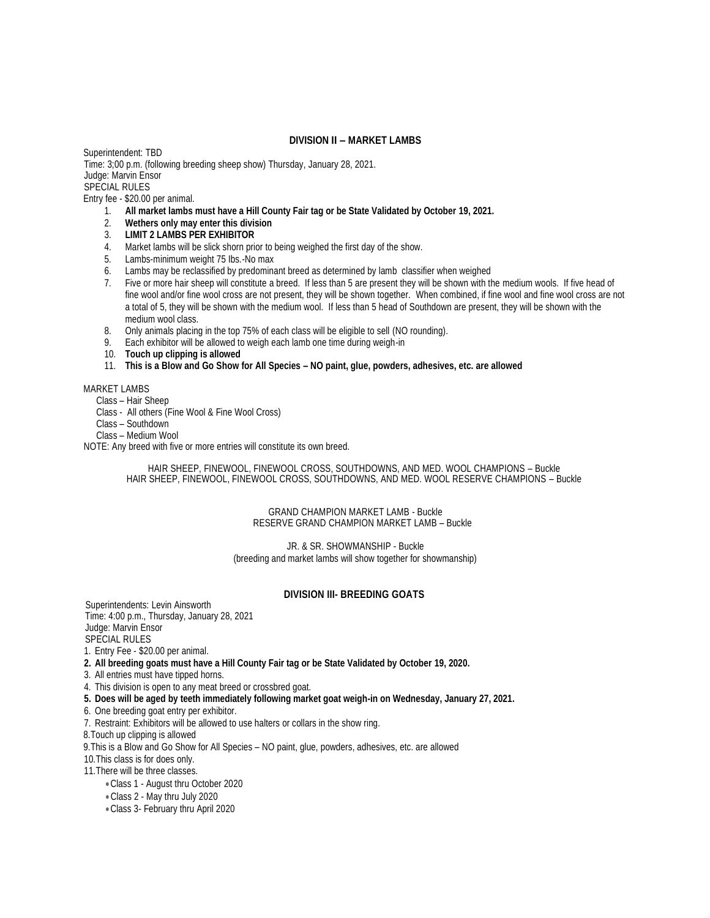#### **DIVISION II – MARKET LAMBS**

Superintendent: TBD Time: 3;00 p.m. (following breeding sheep show) Thursday, January 28, 2021. Judge: Marvin Ensor SPECIAL RULES

Entry fee - \$20.00 per animal.

- 1. **All market lambs must have a Hill County Fair tag or be State Validated by October 19, 2021.**
- 2. **Wethers only may enter this division**
- 3. **LIMIT 2 LAMBS PER EXHIBITOR**
- 4. Market lambs will be slick shorn prior to being weighed the first day of the show.
- 5. Lambs-minimum weight 75 Ibs.-No max
- 6. Lambs may be reclassified by predominant breed as determined by lamb classifier when weighed
- 7. Five or more hair sheep will constitute a breed. If less than 5 are present they will be shown with the medium wools. If five head of fine wool and/or fine wool cross are not present, they will be shown together. When combined, if fine wool and fine wool cross are not a total of 5, they will be shown with the medium wool. If less than 5 head of Southdown are present, they will be shown with the medium wool class.
- 8. Only animals placing in the top 75% of each class will be eligible to sell (NO rounding).
- 9. Each exhibitor will be allowed to weigh each lamb one time during weigh-in
- 10. **Touch up clipping is allowed**
- 11. **This is a Blow and Go Show for All Species – NO paint, glue, powders, adhesives, etc. are allowed**

#### MARKET LAMBS

Class – Hair Sheep

- Class All others (Fine Wool & Fine Wool Cross)
- Class Southdown
- Class Medium Wool

NOTE: Any breed with five or more entries will constitute its own breed.

HAIR SHEEP, FINEWOOL, FINEWOOL CROSS, SOUTHDOWNS, AND MED. WOOL CHAMPIONS – Buckle HAIR SHEEP, FINEWOOL, FINEWOOL CROSS, SOUTHDOWNS, AND MED. WOOL RESERVE CHAMPIONS – Buckle

#### GRAND CHAMPION MARKET LAMB - Buckle RESERVE GRAND CHAMPION MARKET LAMB – Buckle

JR. & SR. SHOWMANSHIP - Buckle (breeding and market lambs will show together for showmanship)

#### **DIVISION III- BREEDING GOATS**

Superintendents: Levin Ainsworth Time: 4:00 p.m., Thursday, January 28, 2021 Judge: Marvin Ensor SPECIAL RULES

1. Entry Fee - \$20.00 per animal.

- **2. All breeding goats must have a Hill County Fair tag or be State Validated by October 19, 2020.**
- 3. All entries must have tipped horns.
- 4. This division is open to any meat breed or crossbred goat.
- **5. Does will be aged by teeth immediately following market goat weigh-in on Wednesday, January 27, 2021.**
- 6. One breeding goat entry per exhibitor.
- 7. Restraint: Exhibitors will be allowed to use halters or collars in the show ring.
- 8.Touch up clipping is allowed
- 9.This is a Blow and Go Show for All Species NO paint, glue, powders, adhesives, etc. are allowed

10.This class is for does only.

- 11.There will be three classes.
	- •Class 1 August thru October 2020
	- Class 2 May thru July 2020
	- •Class 3- February thru April 2020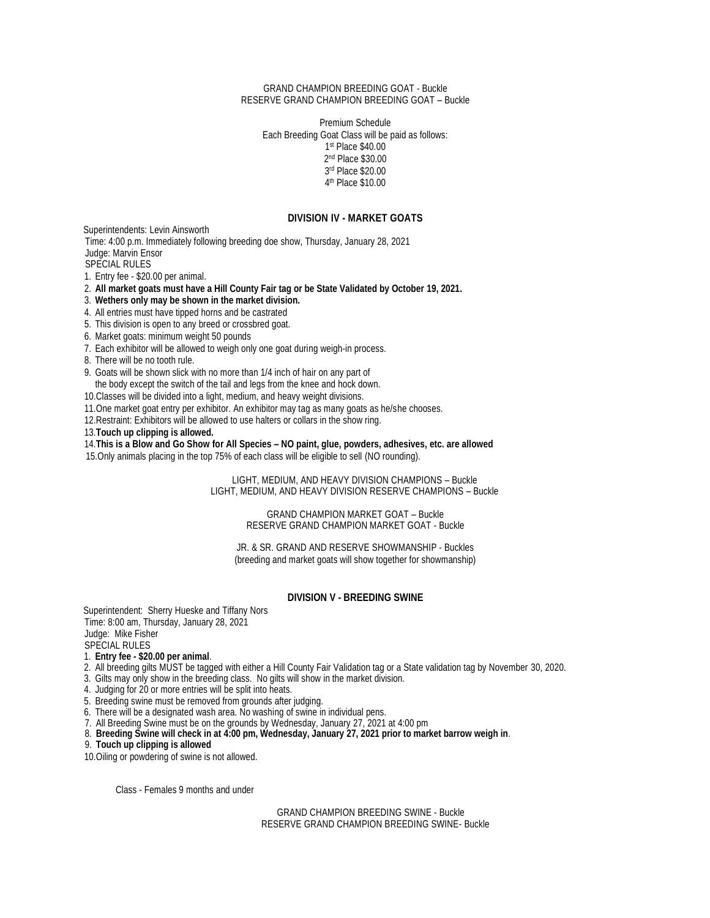#### GRAND CHAMPION BREEDING GOAT - Buckle RESERVE GRAND CHAMPION BREEDING GOAT – Buckle

Premium Schedule Each Breeding Goat Class will be paid as follows: st Place \$40.00 nd Place \$30.00 rd Place \$20.00 th Place \$10.00

#### **DIVISION IV - MARKET GOATS**

Superintendents: Levin Ainsworth Time: 4:00 p.m. Immediately following breeding doe show, Thursday, January 28, 2021 Judge: Marvin Ensor SPECIAL RULES

1. Entry fee - \$20.00 per animal.

2. **All market goats must have a Hill County Fair tag or be State Validated by October 19, 2021.**

3. **Wethers only may be shown in the market division.**

4. All entries must have tipped horns and be castrated

5. This division is open to any breed or crossbred goat.

6. Market goats: minimum weight 50 pounds

7. Each exhibitor will be allowed to weigh only one goat during weigh-in process.

8. There will be no tooth rule.

9. Goats will be shown slick with no more than 1/4 inch of hair on any part of

the body except the switch of the tail and legs from the knee and hock down.

10.Classes will be divided into a light, medium, and heavy weight divisions.

11.One market goat entry per exhibitor. An exhibitor may tag as many goats as he/she chooses.

12.Restraint: Exhibitors will be allowed to use halters or collars in the show ring.

13.**Touch up clipping is allowed.**

14.**This is a Blow and Go Show for All Species – NO paint, glue, powders, adhesives, etc. are allowed**

15.Only animals placing in the top 75% of each class will be eligible to sell (NO rounding).

LIGHT, MEDIUM, AND HEAVY DIVISION CHAMPIONS – Buckle LIGHT, MEDIUM, AND HEAVY DIVISION RESERVE CHAMPIONS – Buckle

#### GRAND CHAMPION MARKET GOAT – Buckle RESERVE GRAND CHAMPION MARKET GOAT - Buckle

JR. & SR. GRAND AND RESERVE SHOWMANSHIP - Buckles (breeding and market goats will show together for showmanship)

#### **DIVISION V - BREEDING SWINE**

Superintendent: Sherry Hueske and Tiffany Nors Time: 8:00 am, Thursday, January 28, 2021 Judge: Mike Fisher SPECIAL RULES

1. **Entry fee - \$20.00 per animal**.

2. All breeding gilts MUST be tagged with either a Hill County Fair Validation tag or a State validation tag by November 30, 2020.

3. Gilts may only show in the breeding class. No gilts will show in the market division.

4. Judging for 20 or more entries will be split into heats.

5. Breeding swine must be removed from grounds after judging.

6. There will be a designated wash area. No washing of swine in individual pens.

7. All Breeding Swine must be on the grounds by Wednesday, January 27, 2021 at 4:00 pm

8. **Breeding Swine will check in at 4:00 pm, Wednesday, January 27, 2021 prior to market barrow weigh in**.

9. **Touch up clipping is allowed**

10.Oiling or powdering of swine is not allowed.

Class - Females 9 months and under

GRAND CHAMPION BREEDING SWINE - Buckle RESERVE GRAND CHAMPION BREEDING SWINE- Buckle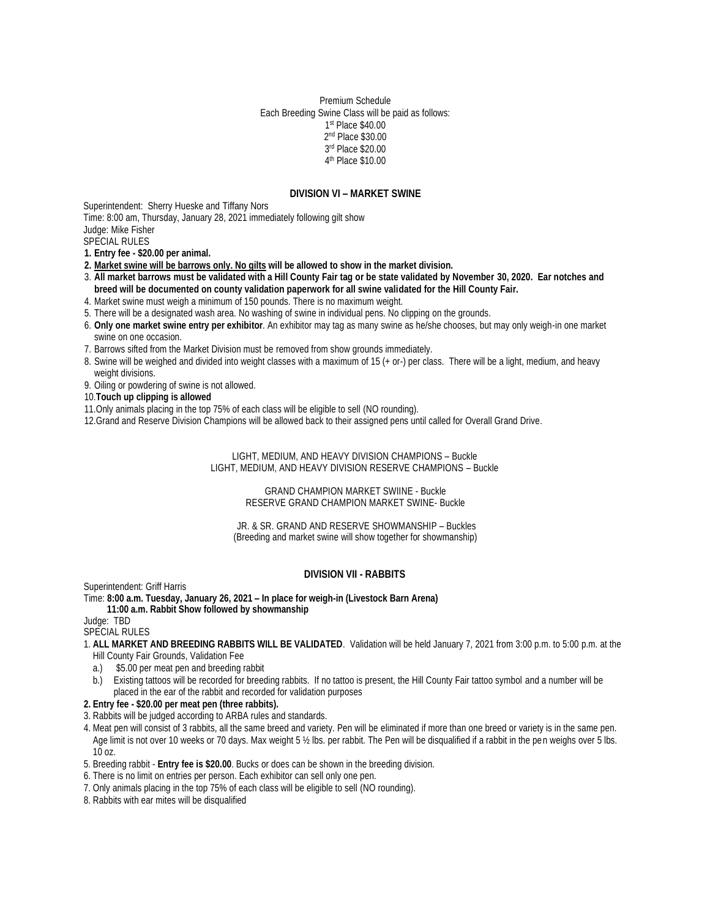Premium Schedule Each Breeding Swine Class will be paid as follows: st Place \$40.00 nd Place \$30.00 rd Place \$20.00 th Place \$10.00

#### **DIVISION VI – MARKET SWINE**

Superintendent: Sherry Hueske and Tiffany Nors

Time: 8:00 am, Thursday, January 28, 2021 immediately following gilt show Judge: Mike Fisher

SPECIAL RULES

**1. Entry fee - \$20.00 per animal.** 

- **2. Market swine will be barrows only. No gilts will be allowed to show in the market division.**
- 3. **All market barrows must be validated with a Hill County Fair tag or be state validated by November 30, 2020. Ear notches and breed will be documented on county validation paperwork for all swine validated for the Hill County Fair.**
- 4. Market swine must weigh a minimum of 150 pounds. There is no maximum weight.
- 5. There will be a designated wash area. No washing of swine in individual pens. No clipping on the grounds.
- 6. **Only one market swine entry per exhibitor**. An exhibitor may tag as many swine as he/she chooses, but may only weigh-in one market swine on one occasion.
- 7. Barrows sifted from the Market Division must be removed from show grounds immediately.
- 8. Swine will be weighed and divided into weight classes with a maximum of 15 (+ or-) per class. There will be a light, medium, and heavy weight divisions.
- 9. Oiling or powdering of swine is not allowed.
- 10.**Touch up clipping is allowed**
- 11.Only animals placing in the top 75% of each class will be eligible to sell (NO rounding).

12.Grand and Reserve Division Champions will be allowed back to their assigned pens until called for Overall Grand Drive.

LIGHT, MEDIUM, AND HEAVY DIVISION CHAMPIONS – Buckle LIGHT, MEDIUM, AND HEAVY DIVISION RESERVE CHAMPIONS – Buckle

> GRAND CHAMPION MARKET SWIINE - Buckle RESERVE GRAND CHAMPION MARKET SWINE- Buckle

JR. & SR. GRAND AND RESERVE SHOWMANSHIP – Buckles (Breeding and market swine will show together for showmanship)

#### **DIVISION VII - RABBITS**

Superintendent: Griff Harris

Time: **8:00 a.m. Tuesday, January 26, 2021 – In place for weigh-in (Livestock Barn Arena)**

#### **11:00 a.m. Rabbit Show followed by showmanship**

Judge: TBD

SPECIAL RULES

- 1. **ALL MARKET AND BREEDING RABBITS WILL BE VALIDATED**. Validation will be held January 7, 2021 from 3:00 p.m. to 5:00 p.m. at the Hill County Fair Grounds, Validation Fee
	- a.) \$5.00 per meat pen and breeding rabbit
- b.) Existing tattoos will be recorded for breeding rabbits. If no tattoo is present, the Hill County Fair tattoo symbol and a number will be placed in the ear of the rabbit and recorded for validation purposes

#### **2. Entry fee - \$20.00 per meat pen (three rabbits).**

- 3. Rabbits will be judged according to ARBA rules and standards.
- 4. Meat pen will consist of 3 rabbits, all the same breed and variety. Pen will be eliminated if more than one breed or variety is in the same pen. Age limit is not over 10 weeks or 70 days. Max weight 5 1/2 lbs. per rabbit. The Pen will be disqualified if a rabbit in the pen weighs over 5 lbs. 10 oz.
- 5. Breeding rabbit **Entry fee is \$20.00**. Bucks or does can be shown in the breeding division.
- 6. There is no limit on entries per person. Each exhibitor can sell only one pen.
- 7. Only animals placing in the top 75% of each class will be eligible to sell (NO rounding).
- 8. Rabbits with ear mites will be disqualified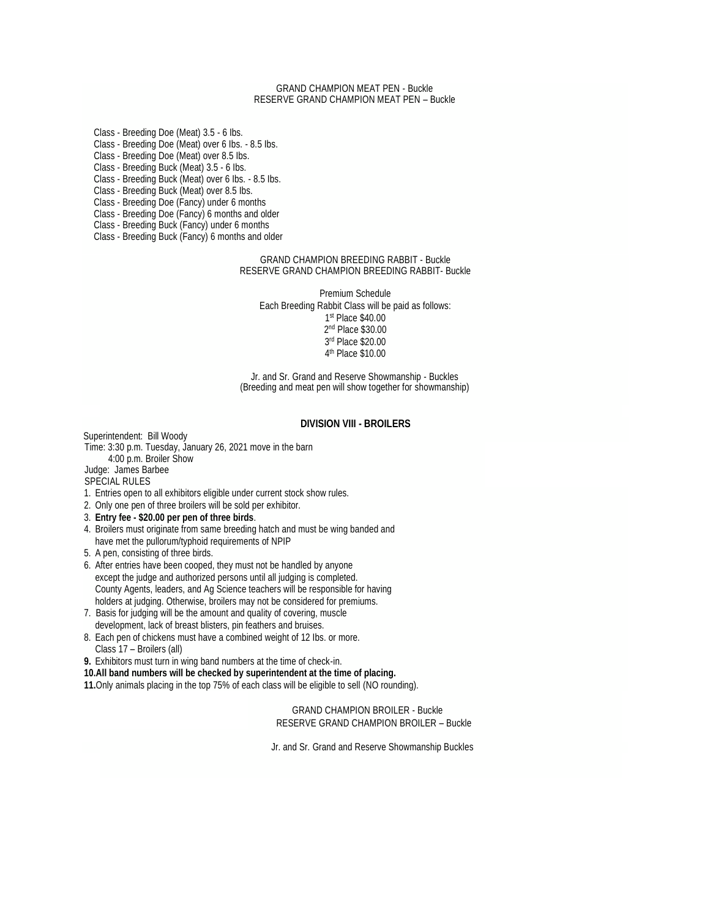#### GRAND CHAMPION MEAT PEN - Buckle RESERVE GRAND CHAMPION MEAT PEN – Buckle

Class - Breeding Doe (Meat) 3.5 - 6 Ibs. Class - Breeding Doe (Meat) over 6 Ibs. - 8.5 Ibs. Class - Breeding Doe (Meat) over 8.5 Ibs. Class - Breeding Buck (Meat) 3.5 - 6 Ibs. Class - Breeding Buck (Meat) over 6 Ibs. - 8.5 Ibs. Class - Breeding Buck (Meat) over 8.5 Ibs. Class - Breeding Doe (Fancy) under 6 months Class - Breeding Doe (Fancy) 6 months and older Class - Breeding Buck (Fancy) under 6 months

Class - Breeding Buck (Fancy) 6 months and older

#### GRAND CHAMPION BREEDING RABBIT - Buckle RESERVE GRAND CHAMPION BREEDING RABBIT- Buckle

Premium Schedule Each Breeding Rabbit Class will be paid as follows: st Place \$40.00 nd Place \$30.00 rd Place \$20.00 th Place \$10.00

Jr. and Sr. Grand and Reserve Showmanship - Buckles (Breeding and meat pen will show together for showmanship)

#### **DIVISION VIII - BROILERS**

Superintendent: Bill Woody

#### Time: 3:30 p.m. Tuesday, January 26, 2021 move in the barn

4:00 p.m. Broiler Show

#### Judge: James Barbee SPECIAL RULES

- 1. Entries open to all exhibitors eligible under current stock show rules.
- 2. Only one pen of three broilers will be sold per exhibitor.
- 3. **Entry fee - \$20.00 per pen of three birds**.
- 4. Broilers must originate from same breeding hatch and must be wing banded and have met the pullorum/typhoid requirements of NPIP
- 5. A pen, consisting of three birds.
- 6. After entries have been cooped, they must not be handled by anyone except the judge and authorized persons until all judging is completed. County Agents, leaders, and Ag Science teachers will be responsible for having holders at judging. Otherwise, broilers may not be considered for premiums.
- 7. Basis for judging will be the amount and quality of covering, muscle development, lack of breast blisters, pin feathers and bruises.
- 8. Each pen of chickens must have a combined weight of 12 Ibs. or more. Class 17 – Broilers (all)
- **9.** Exhibitors must turn in wing band numbers at the time of check-in.

**10.All band numbers will be checked by superintendent at the time of placing.**

**11.**Only animals placing in the top 75% of each class will be eligible to sell (NO rounding).

GRAND CHAMPION BROILER - Buckle RESERVE GRAND CHAMPION BROILER – Buckle

Jr. and Sr. Grand and Reserve Showmanship Buckles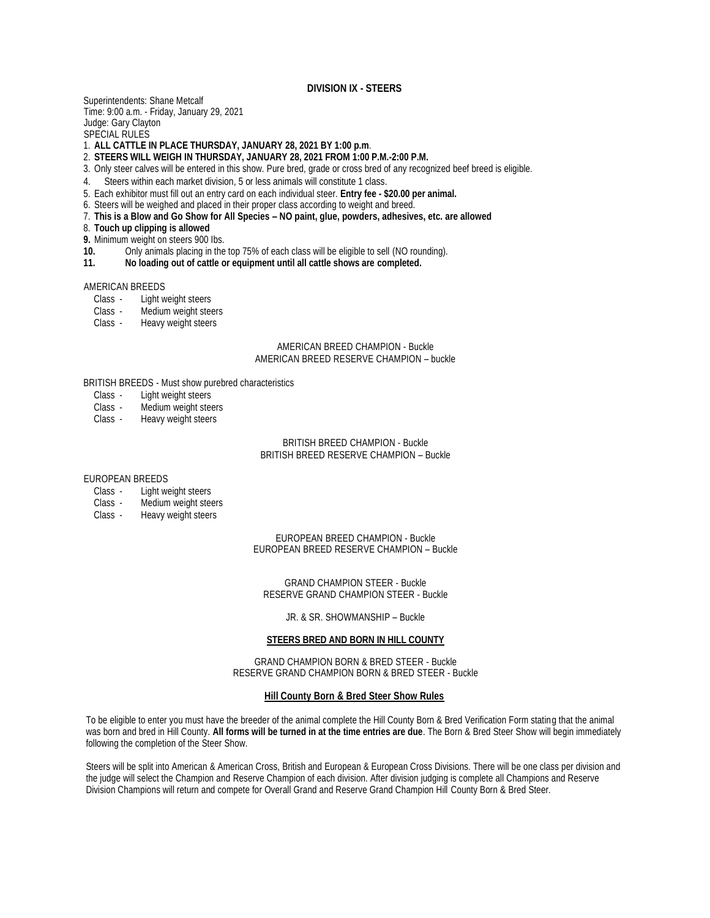#### **DIVISION IX - STEERS**

Superintendents: Shane Metcalf Time: 9:00 a.m. - Friday, January 29, 2021 Judge: Gary Clayton SPECIAL RULES

1. **ALL CATTLE IN PLACE THURSDAY, JANUARY 28, 2021 BY 1:00 p.m**.

- 2. **STEERS WILL WEIGH IN THURSDAY, JANUARY 28, 2021 FROM 1:00 P.M.-2:00 P.M.**
- 3. Only steer calves will be entered in this show. Pure bred, grade or cross bred of any recognized beef breed is eligible.
- 4. Steers within each market division, 5 or less animals will constitute 1 class.
- 5. Each exhibitor must fill out an entry card on each individual steer. **Entry fee - \$20.00 per animal.**
- 6. Steers will be weighed and placed in their proper class according to weight and breed.
- 7. **This is a Blow and Go Show for All Species – NO paint, glue, powders, adhesives, etc. are allowed**
- 8. **Touch up clipping is allowed**
- **9.** Minimum weight on steers 900 Ibs.

**10.** Only animals placing in the top 75% of each class will be eligible to sell (NO rounding).

**11. No loading out of cattle or equipment until all cattle shows are completed.** 

#### AMERICAN BREEDS

- Class Light weight steers
- Class Medium weight steers
- Class Heavy weight steers

#### AMERICAN BREED CHAMPION - Buckle AMERICAN BREED RESERVE CHAMPION – buckle

BRITISH BREEDS - Must show purebred characteristics

- Class Light weight steers
- Class Medium weight steers
- Class Heavy weight steers

#### BRITISH BREED CHAMPION - Buckle BRITISH BREED RESERVE CHAMPION – Buckle

#### EUROPEAN BREEDS

- Class Light weight steers
- Class Medium weight steers
- Class Heavy weight steers

EUROPEAN BREED CHAMPION - Buckle EUROPEAN BREED RESERVE CHAMPION – Buckle

GRAND CHAMPION STEER - Buckle RESERVE GRAND CHAMPION STEER - Buckle

JR. & SR. SHOWMANSHIP – Buckle

#### **STEERS BRED AND BORN IN HILL COUNTY**

GRAND CHAMPION BORN & BRED STEER - Buckle RESERVE GRAND CHAMPION BORN & BRED STEER - Buckle

#### **Hill County Born & Bred Steer Show Rules**

To be eligible to enter you must have the breeder of the animal complete the Hill County Born & Bred Verification Form stating that the animal was born and bred in Hill County. **All forms will be turned in at the time entries are due**. The Born & Bred Steer Show will begin immediately following the completion of the Steer Show.

Steers will be split into American & American Cross, British and European & European Cross Divisions. There will be one class per division and the judge will select the Champion and Reserve Champion of each division. After division judging is complete all Champions and Reserve Division Champions will return and compete for Overall Grand and Reserve Grand Champion Hill County Born & Bred Steer.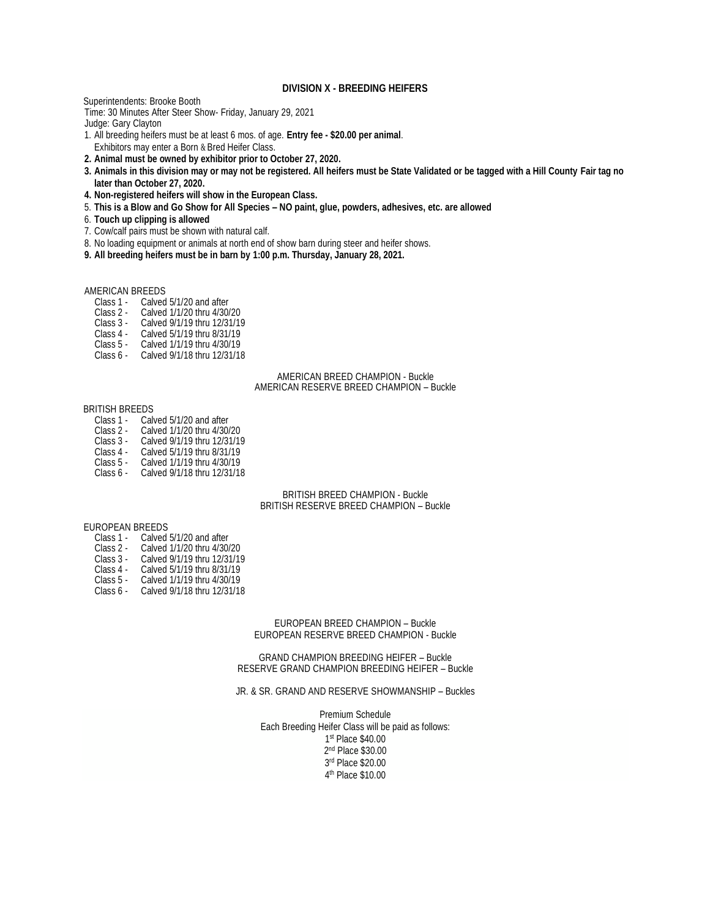#### **DIVISION X - BREEDING HEIFERS**

Superintendents: Brooke Booth

Time: 30 Minutes After Steer Show- Friday, January 29, 2021

Judge: Gary Clayton

- 1. All breeding heifers must be at least 6 mos. of age. **Entry fee - \$20.00 per animal**. Exhibitors may enter a Born & Bred Heifer Class.
- 
- **2. Animal must be owned by exhibitor prior to October 27, 2020.**
- **3. Animals in this division may or may not be registered. All heifers must be State Validated or be tagged with a Hill County Fair tag no later than October 27, 2020.**
- **4. Non-registered heifers will show in the European Class.**
- 5. **This is a Blow and Go Show for All Species – NO paint, glue, powders, adhesives, etc. are allowed**
- 6. **Touch up clipping is allowed**
- 7. Cow/calf pairs must be shown with natural calf.
- 8. No loading equipment or animals at north end of show barn during steer and heifer shows.
- **9. All breeding heifers must be in barn by 1:00 p.m. Thursday, January 28, 2021.**

#### AMERICAN BREEDS

- Class 1 Calved 5/1/20 and after<br>Class 2 Calved 1/1/20 thru 4/30/
- Class 2 Calved 1/1/20 thru 4/30/20<br>Class 3 Calved 9/1/19 thru 12/31/19
- Calved 9/1/19 thru 12/31/19
- Class 4 Calved 5/1/19 thru 8/31/19
- Class 5 Calved 1/1/19 thru 4/30/19
- Class 6 Calved 9/1/18 thru 12/31/18

#### AMERICAN BREED CHAMPION - Buckle AMERICAN RESERVE BREED CHAMPION – Buckle

#### BRITISH BREEDS

- Class 1 Calved 5/1/20 and after
- Class 2 Calved 1/1/20 thru 4/30/20<br>Class 3 Calved 9/1/19 thru 12/31/19
- Class 3 Calved 9/1/19 thru 12/31/19<br>Class 4 Calved 5/1/19 thru 8/31/19
- Class 4 Calved 5/1/19 thru 8/31/19<br>Class 5 Calved 1/1/19 thru 4/30/19
- Class 5 Calved 1/1/19 thru 4/30/19<br>Class 6 Calved 9/1/18 thru 12/31/18 Calved 9/1/18 thru 12/31/18

BRITISH BREED CHAMPION - Buckle BRITISH RESERVE BREED CHAMPION – Buckle

#### EUROPEAN BREEDS

- Class 1 Calved 5/1/20 and after<br>Class 2 Calved 1/1/20 thru 4/30/
- Class 2 Calved 1/1/20 thru 4/30/20<br>Class 3 Calved 9/1/19 thru 12/31/19
- Class 3 Calved 9/1/19 thru 12/31/19<br>Class 4 Calved 5/1/19 thru 8/31/19
- Class 4 Calved 5/1/19 thru 8/31/19<br>Class 5 Calved 1/1/19 thru 4/30/19
- Calved 1/1/19 thru 4/30/19
- Class 6 Calved 9/1/18 thru 12/31/18

#### EUROPEAN BREED CHAMPION – Buckle EUROPEAN RESERVE BREED CHAMPION - Buckle

GRAND CHAMPION BREEDING HEIFER – Buckle RESERVE GRAND CHAMPION BREEDING HEIFER – Buckle

#### JR. & SR. GRAND AND RESERVE SHOWMANSHIP – Buckles

Premium Schedule Each Breeding Heifer Class will be paid as follows: st Place \$40.00 nd Place \$30.00 rd Place \$20.00 th Place \$10.00